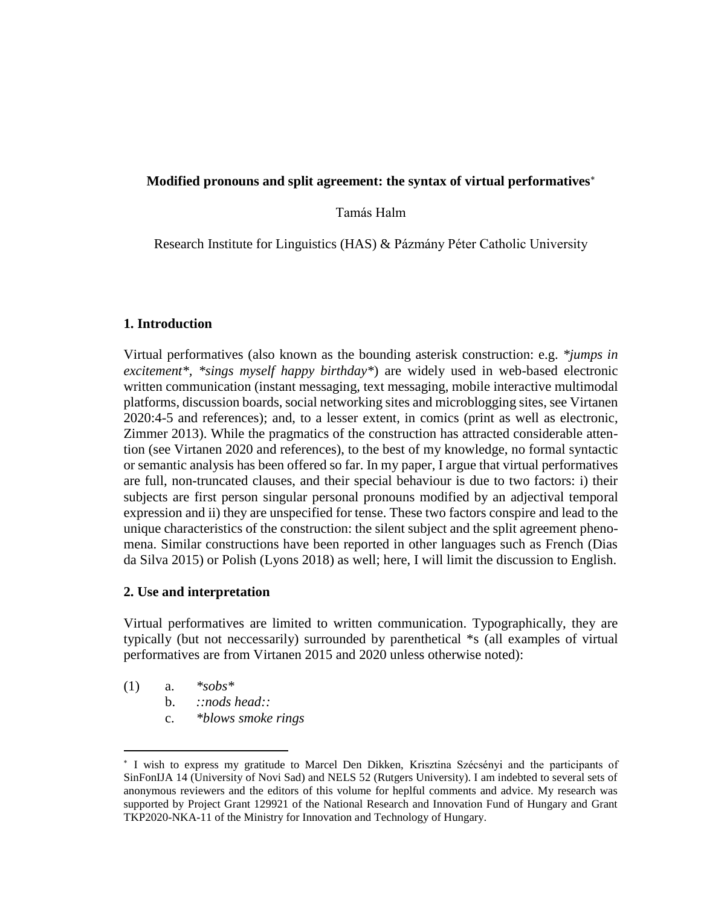### **Modified pronouns and split agreement: the syntax of virtual performatives**

### Tamás Halm

Research Institute for Linguistics (HAS) & Pázmány Péter Catholic University

### **1. Introduction**

Virtual performatives (also known as the bounding asterisk construction: e.g. *\*jumps in excitement\*, \*sings myself happy birthday\**) are widely used in web-based electronic written communication (instant messaging, text messaging, mobile interactive multimodal platforms, discussion boards, social networking sites and microblogging sites, see Virtanen 2020:4-5 and references); and, to a lesser extent, in comics (print as well as electronic, Zimmer 2013). While the pragmatics of the construction has attracted considerable attention (see Virtanen 2020 and references), to the best of my knowledge, no formal syntactic or semantic analysis has been offered so far. In my paper, I argue that virtual performatives are full, non-truncated clauses, and their special behaviour is due to two factors: i) their subjects are first person singular personal pronouns modified by an adjectival temporal expression and ii) they are unspecified for tense. These two factors conspire and lead to the unique characteristics of the construction: the silent subject and the split agreement phenomena. Similar constructions have been reported in other languages such as French (Dias da Silva 2015) or Polish (Lyons 2018) as well; here, I will limit the discussion to English.

### **2. Use and interpretation**

Virtual performatives are limited to written communication. Typographically, they are typically (but not neccessarily) surrounded by parenthetical \*s (all examples of virtual performatives are from Virtanen 2015 and 2020 unless otherwise noted):

(1) a. *\*sobs\**

 $\overline{a}$ 

- b. *::nods head::*
- c. *\*blows smoke rings*

 I wish to express my gratitude to Marcel Den Dikken, Krisztina Szécsényi and the participants of SinFonIJA 14 (University of Novi Sad) and NELS 52 (Rutgers University). I am indebted to several sets of anonymous reviewers and the editors of this volume for heplful comments and advice. My research was supported by Project Grant 129921 of the National Research and Innovation Fund of Hungary and Grant TKP2020-NKA-11 of the Ministry for Innovation and Technology of Hungary.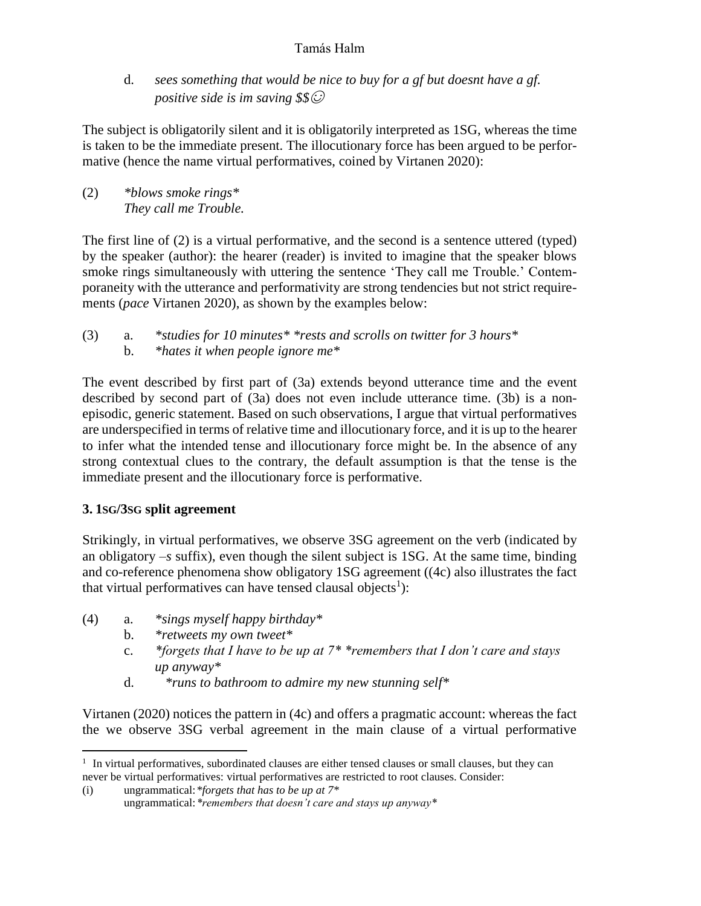d. *sees something that would be nice to buy for a gf but doesnt have a gf. positive side is im saving \$\$*☺

The subject is obligatorily silent and it is obligatorily interpreted as 1SG, whereas the time is taken to be the immediate present. The illocutionary force has been argued to be performative (hence the name virtual performatives, coined by Virtanen 2020):

(2) *\*blows smoke rings\* They call me Trouble.*

The first line of (2) is a virtual performative, and the second is a sentence uttered (typed) by the speaker (author): the hearer (reader) is invited to imagine that the speaker blows smoke rings simultaneously with uttering the sentence 'They call me Trouble.' Contemporaneity with the utterance and performativity are strong tendencies but not strict requirements (*pace* Virtanen 2020), as shown by the examples below:

(3) a. *\*studies for 10 minutes\* \*rests and scrolls on twitter for 3 hours\** b. *\*hates it when people ignore me\**

The event described by first part of (3a) extends beyond utterance time and the event described by second part of (3a) does not even include utterance time. (3b) is a nonepisodic, generic statement. Based on such observations, I argue that virtual performatives are underspecified in terms of relative time and illocutionary force, and it is up to the hearer to infer what the intended tense and illocutionary force might be. In the absence of any strong contextual clues to the contrary, the default assumption is that the tense is the immediate present and the illocutionary force is performative.

# **3. 1SG/3SG split agreement**

 $\overline{a}$ 

Strikingly, in virtual performatives, we observe 3SG agreement on the verb (indicated by an obligatory *–s* suffix), even though the silent subject is 1SG. At the same time, binding and co-reference phenomena show obligatory 1SG agreement ((4c) also illustrates the fact that virtual performatives can have tensed clausal objects<sup>1</sup>):

- (4) a. *\*sings myself happy birthday\**
	- b. *\*retweets my own tweet\**
	- c. *\*forgets that I have to be up at 7\* \*remembers that I don't care and stays up anyway\**
	- d. *\*runs to bathroom to admire my new stunning self\**

Virtanen (2020) notices the pattern in (4c) and offers a pragmatic account: whereas the fact the we observe 3SG verbal agreement in the main clause of a virtual performative

<sup>&</sup>lt;sup>1</sup> In virtual performatives, subordinated clauses are either tensed clauses or small clauses, but they can never be virtual performatives: virtual performatives are restricted to root clauses. Consider:

<sup>(</sup>i) ungrammatical:*\*forgets that has to be up at 7\**  ungrammatical:*\*remembers that doesn't care and stays up anyway\**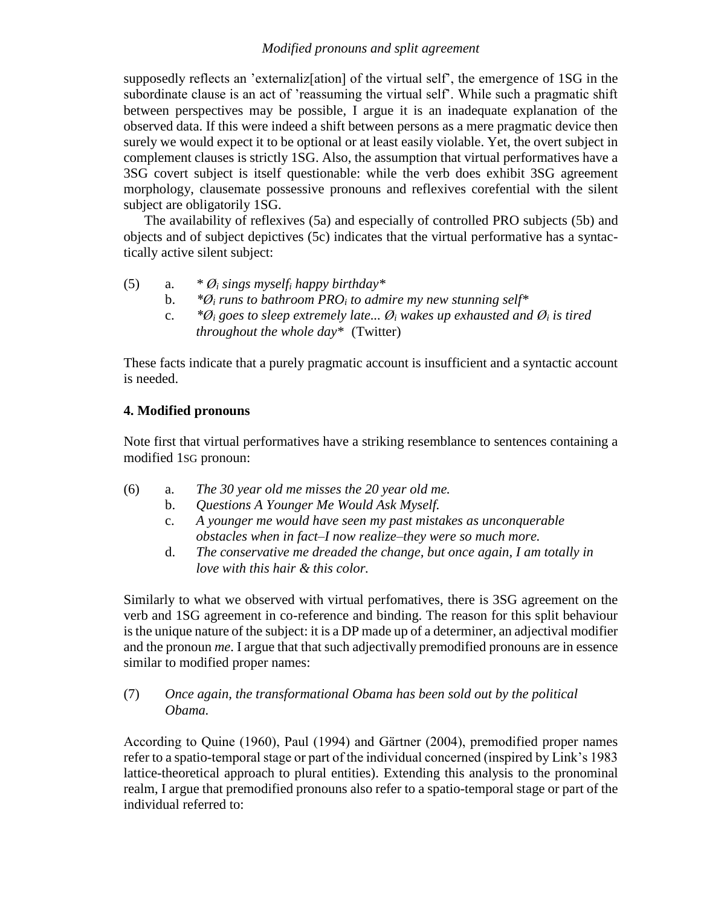### *Modified pronouns and split agreement*

supposedly reflects an 'externaliz[ation] of the virtual self', the emergence of 1SG in the subordinate clause is an act of 'reassuming the virtual self'. While such a pragmatic shift between perspectives may be possible, I argue it is an inadequate explanation of the observed data. If this were indeed a shift between persons as a mere pragmatic device then surely we would expect it to be optional or at least easily violable. Yet, the overt subject in complement clauses is strictly 1SG. Also, the assumption that virtual performatives have a 3SG covert subject is itself questionable: while the verb does exhibit 3SG agreement morphology, clausemate possessive pronouns and reflexives corefential with the silent subject are obligatorily 1SG.

The availability of reflexives (5a) and especially of controlled PRO subjects (5b) and objects and of subject depictives (5c) indicates that the virtual performative has a syntactically active silent subject:

- (5) a. *\* Ø<sup>i</sup> sings myself<sup>i</sup> happy birthday\**
	- b. *\*Ø<sup>i</sup> runs to bathroom PRO<sup>i</sup> to admire my new stunning self\**
	- c.  $*{\mathcal{O}}_i$  goes to sleep extremely late...  ${\mathcal{O}}_i$  wakes up exhausted and  ${\mathcal{O}}_i$  is tired *throughout the whole day\** (Twitter)

These facts indicate that a purely pragmatic account is insufficient and a syntactic account is needed.

# **4. Modified pronouns**

Note first that virtual performatives have a striking resemblance to sentences containing a modified 1SG pronoun:

- (6) a. *The 30 year old me misses the 20 year old me.*
	- b. *Questions A Younger Me Would Ask Myself.*
	- c. *A younger me would have seen my past mistakes as unconquerable obstacles when in fact–I now realize–they were so much more.*
	- d. *The conservative me dreaded the change, but once again, I am totally in love with this hair & this color.*

Similarly to what we observed with virtual perfomatives, there is 3SG agreement on the verb and 1SG agreement in co-reference and binding. The reason for this split behaviour is the unique nature of the subject: it is a DP made up of a determiner, an adjectival modifier and the pronoun *me*. I argue that that such adjectivally premodified pronouns are in essence similar to modified proper names:

### (7) *Once again, the transformational Obama has been sold out by the political Obama.*

According to Quine (1960), Paul (1994) and Gärtner (2004), premodified proper names refer to a spatio-temporal stage or part of the individual concerned (inspired by Link's 1983 lattice-theoretical approach to plural entities). Extending this analysis to the pronominal realm, I argue that premodified pronouns also refer to a spatio-temporal stage or part of the individual referred to: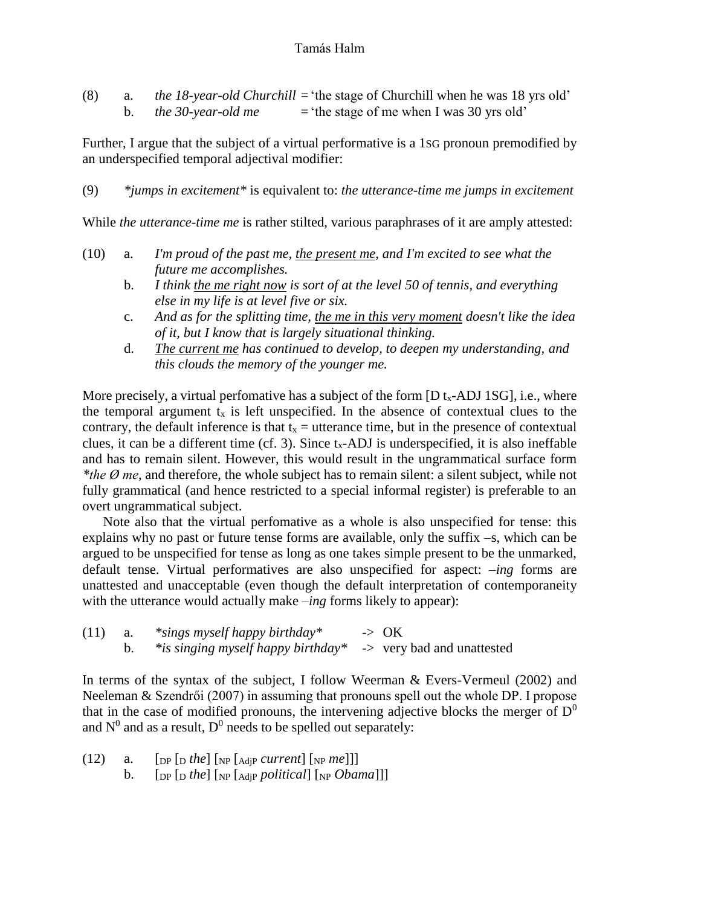| (8) |                    | <i>the 18-year-old Churchill</i> = 'the stage of Churchill when he was 18 yrs old' |
|-----|--------------------|------------------------------------------------------------------------------------|
|     | the 30-year-old me | $=$ the stage of me when I was 30 yrs old'                                         |

Further, I argue that the subject of a virtual performative is a 1SG pronoun premodified by an underspecified temporal adjectival modifier:

(9) *\*jumps in excitement\** is equivalent to: *the utterance-time me jumps in excitement*

While *the utterance-time me* is rather stilted, various paraphrases of it are amply attested:

- (10) a. *I'm proud of the past me, the present me, and I'm excited to see what the future me accomplishes.*
	- b. *I think the me right now is sort of at the level 50 of tennis, and everything else in my life is at level five or six.*
	- c. *And as for the splitting time, the me in this very moment doesn't like the idea of it, but I know that is largely situational thinking.*
	- d. *The current me has continued to develop, to deepen my understanding, and this clouds the memory of the younger me.*

More precisely, a virtual perfomative has a subject of the form  $[D t_x-ADJ 1SG]$ , i.e., where the temporal argument  $t<sub>x</sub>$  is left unspecified. In the absence of contextual clues to the contrary, the default inference is that  $t_x =$  utterance time, but in the presence of contextual clues, it can be a different time (cf. 3). Since  $t_x$ -ADJ is underspecified, it is also ineffable and has to remain silent. However, this would result in the ungrammatical surface form *\*the Ø me*, and therefore, the whole subject has to remain silent: a silent subject, while not fully grammatical (and hence restricted to a special informal register) is preferable to an overt ungrammatical subject.

Note also that the virtual perfomative as a whole is also unspecified for tense: this explains why no past or future tense forms are available, only the suffix –s, which can be argued to be unspecified for tense as long as one takes simple present to be the unmarked, default tense. Virtual performatives are also unspecified for aspect: *–ing* forms are unattested and unacceptable (even though the default interpretation of contemporaneity with the utterance would actually make *–ing* forms likely to appear):

| (11) | $*$ sings myself happy birthday $*$                           | $\rightarrow$ OK |
|------|---------------------------------------------------------------|------------------|
|      | *is singing myself happy birthday* -> very bad and unattested |                  |

In terms of the syntax of the subject, I follow Weerman & Evers-Vermeul (2002) and Neeleman & Szendrői (2007) in assuming that pronouns spell out the whole DP. I propose that in the case of modified pronouns, the intervening adjective blocks the merger of  $D^0$ and  $N^0$  and as a result,  $D^0$  needs to be spelled out separately:

| (12) | а. | $[$ [DP $[$ D <i>the</i> $]$ $[$ NP $[$ AdjP <i>current</i> $]$ $[$ NP <i>me</i> $]$ $]$ |
|------|----|------------------------------------------------------------------------------------------|
|      |    | [DP [D the] [NP [AdjP political] [NP Obama]]]                                            |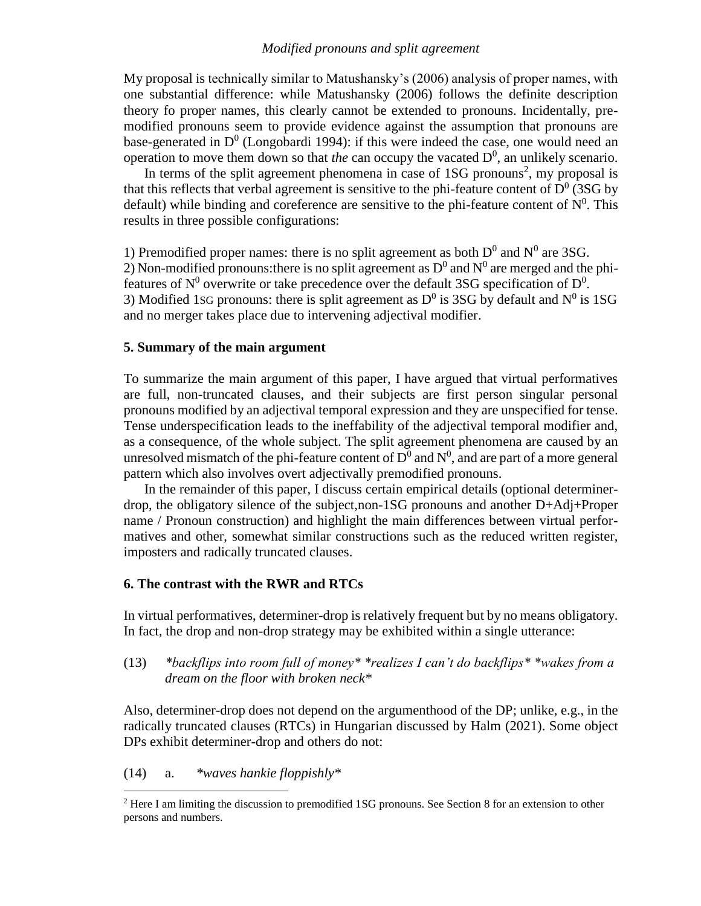#### *Modified pronouns and split agreement*

My proposal is technically similar to Matushansky's (2006) analysis of proper names, with one substantial difference: while Matushansky (2006) follows the definite description theory fo proper names, this clearly cannot be extended to pronouns. Incidentally, premodified pronouns seem to provide evidence against the assumption that pronouns are base-generated in  $D^0$  (Longobardi 1994): if this were indeed the case, one would need an operation to move them down so that *the* can occupy the vacated  $D^0$ , an unlikely scenario.

In terms of the split agreement phenomena in case of  $1SG$  pronouns<sup>2</sup>, my proposal is that this reflects that verbal agreement is sensitive to the phi-feature content of  $D^0$  (3SG by default) while binding and coreference are sensitive to the phi-feature content of  $N^0$ . This results in three possible configurations:

1) Premodified proper names: there is no split agreement as both  $D^0$  and  $N^0$  are 3SG. 2) Non-modified pronouns: there is no split agreement as  $D^0$  and  $N^0$  are merged and the phifeatures of  $N^0$  overwrite or take precedence over the default 3SG specification of  $D^0$ . 3) Modified 1sG pronouns: there is split agreement as  $D^0$  is 3SG by default and  $N^0$  is 1SG and no merger takes place due to intervening adjectival modifier.

#### **5. Summary of the main argument**

To summarize the main argument of this paper, I have argued that virtual performatives are full, non-truncated clauses, and their subjects are first person singular personal pronouns modified by an adjectival temporal expression and they are unspecified for tense. Tense underspecification leads to the ineffability of the adjectival temporal modifier and, as a consequence, of the whole subject. The split agreement phenomena are caused by an unresolved mismatch of the phi-feature content of  $D^0$  and  $N^0$ , and are part of a more general pattern which also involves overt adjectivally premodified pronouns.

In the remainder of this paper, I discuss certain empirical details (optional determinerdrop, the obligatory silence of the subject,non-1SG pronouns and another D+Adj+Proper name / Pronoun construction) and highlight the main differences between virtual performatives and other, somewhat similar constructions such as the reduced written register, imposters and radically truncated clauses.

#### **6. The contrast with the RWR and RTCs**

In virtual performatives, determiner-drop is relatively frequent but by no means obligatory. In fact, the drop and non-drop strategy may be exhibited within a single utterance:

(13) *\*backflips into room full of money\* \*realizes I can't do backflips\* \*wakes from a dream on the floor with broken neck\**

Also, determiner-drop does not depend on the argumenthood of the DP; unlike, e.g., in the radically truncated clauses (RTCs) in Hungarian discussed by Halm (2021). Some object DPs exhibit determiner-drop and others do not:

(14) a. *\*waves hankie floppishly\**

 $\overline{\phantom{a}}$ 

<sup>2</sup> Here I am limiting the discussion to premodified 1SG pronouns. See Section 8 for an extension to other persons and numbers.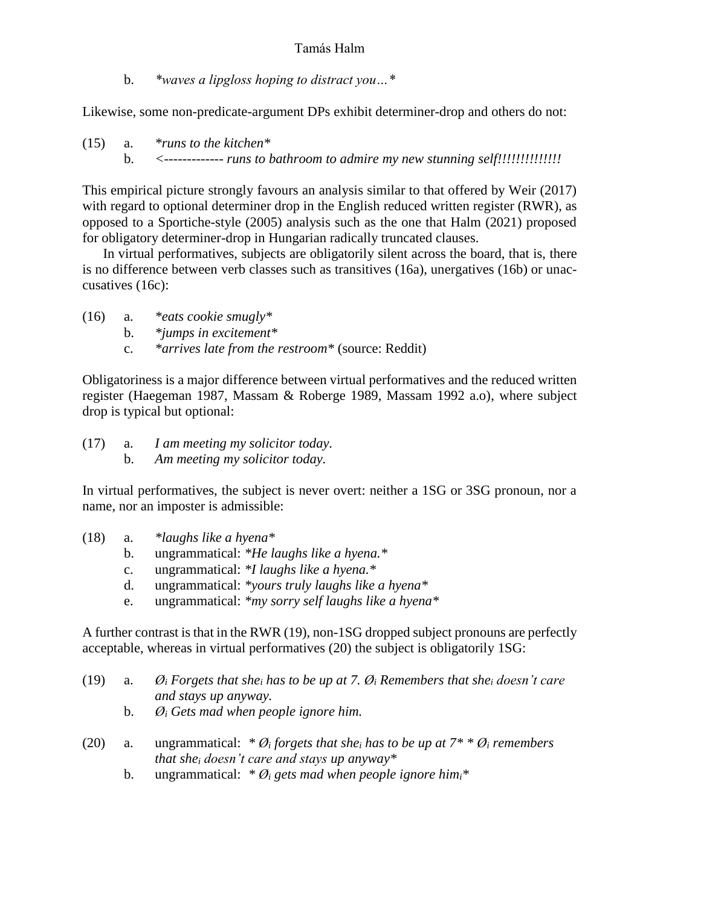b. *\*waves a lipgloss hoping to distract you…\**

Likewise, some non-predicate-argument DPs exhibit determiner-drop and others do not:

(15) a. *\*runs to the kitchen\** b. *<------------- runs to bathroom to admire my new stunning self!!!!!!!!!!!!!!*

This empirical picture strongly favours an analysis similar to that offered by Weir (2017) with regard to optional determiner drop in the English reduced written register (RWR), as opposed to a Sportiche-style (2005) analysis such as the one that Halm (2021) proposed for obligatory determiner-drop in Hungarian radically truncated clauses.

In virtual performatives, subjects are obligatorily silent across the board, that is, there is no difference between verb classes such as transitives (16a), unergatives (16b) or unaccusatives (16c):

- (16) a. *\*eats cookie smugly\**
	- b. *\*jumps in excitement\**
	- c. *\*arrives late from the restroom\** (source: Reddit)

Obligatoriness is a major difference between virtual performatives and the reduced written register (Haegeman 1987, Massam & Roberge 1989, Massam 1992 a.o), where subject drop is typical but optional:

(17) a. *I am meeting my solicitor today.* b. *Am meeting my solicitor today.*

In virtual performatives, the subject is never overt: neither a 1SG or 3SG pronoun, nor a name, nor an imposter is admissible:

- (18) a. *\*laughs like a hyena\**
	- b. ungrammatical: *\*He laughs like a hyena.\**
	- c. ungrammatical: *\*I laughs like a hyena.\**
	- d. ungrammatical: *\*yours truly laughs like a hyena\**
	- e. ungrammatical: *\*my sorry self laughs like a hyena\**

A further contrast is that in the RWR (19), non-1SG dropped subject pronouns are perfectly acceptable, whereas in virtual performatives (20) the subject is obligatorily 1SG:

| (19)       | a.      | $\mathcal{O}_i$ Forgets that she <sub>i</sub> has to be up at 7. $\mathcal{O}_i$ Remembers that she <sub>i</sub> doesn't care<br>and stays up anyway.                       |
|------------|---------|-----------------------------------------------------------------------------------------------------------------------------------------------------------------------------|
|            | $b_{1}$ | $\mathcal{O}_i$ Gets mad when people ignore him.                                                                                                                            |
| (20)<br>a. |         | ungrammatical: * $\mathcal{O}_i$ forgets that she <sub>i</sub> has to be up at $7^*$ * $\mathcal{O}_i$ remembers<br>that she <sub>i</sub> doesn't care and stays up anyway* |
|            | b.      | ungrammatical: $\mathcal{B}_i$ gets mad when people ignore him <sub>i</sub> *                                                                                               |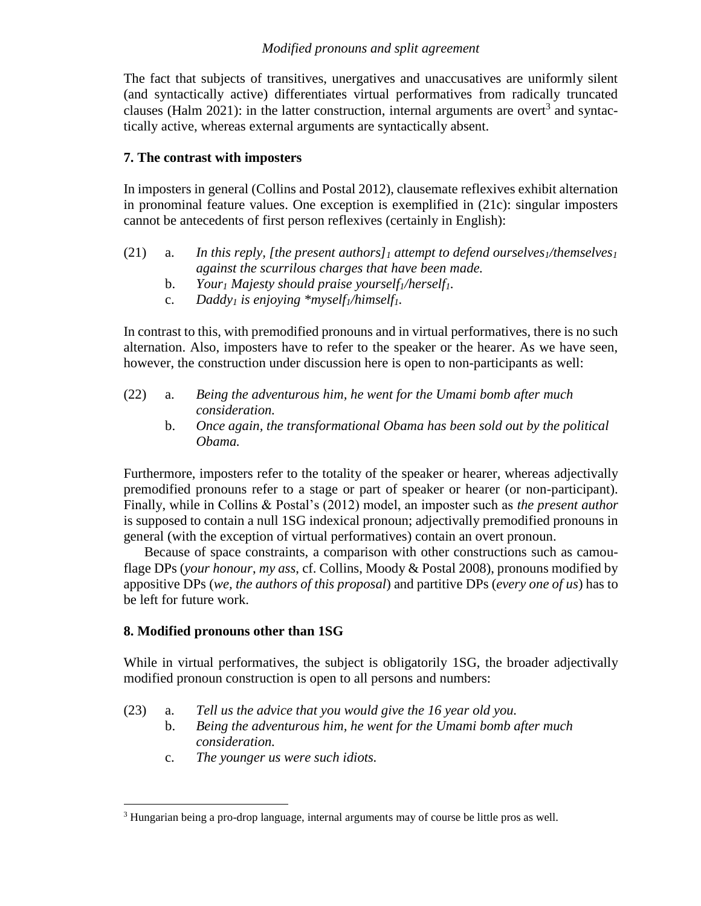### *Modified pronouns and split agreement*

The fact that subjects of transitives, unergatives and unaccusatives are uniformly silent (and syntactically active) differentiates virtual performatives from radically truncated clauses (Halm 2021): in the latter construction, internal arguments are overt<sup>3</sup> and syntactically active, whereas external arguments are syntactically absent.

## **7. The contrast with imposters**

In imposters in general (Collins and Postal 2012), clausemate reflexives exhibit alternation in pronominal feature values. One exception is exemplified in (21c): singular imposters cannot be antecedents of first person reflexives (certainly in English):

- (21) a. *In this reply, [the present authors]<sup>1</sup> attempt to defend ourselves1/themselves<sup>1</sup> against the scurrilous charges that have been made.*
	- b. *Your<sup>1</sup> Majesty should praise yourself1/herself1.*
	- c. *Daddy<sup>1</sup> is enjoying \*myself1/himself1.*

In contrast to this, with premodified pronouns and in virtual performatives, there is no such alternation. Also, imposters have to refer to the speaker or the hearer. As we have seen, however, the construction under discussion here is open to non-participants as well:

- (22) a. *Being the adventurous him, he went for the Umami bomb after much consideration.*
	- b. *Once again, the transformational Obama has been sold out by the political Obama.*

Furthermore, imposters refer to the totality of the speaker or hearer, whereas adjectivally premodified pronouns refer to a stage or part of speaker or hearer (or non-participant). Finally, while in Collins & Postal's (2012) model, an imposter such as *the present author* is supposed to contain a null 1SG indexical pronoun; adjectivally premodified pronouns in general (with the exception of virtual performatives) contain an overt pronoun.

Because of space constraints, a comparison with other constructions such as camouflage DPs (*your honour*, *my ass*, cf. Collins, Moody & Postal 2008), pronouns modified by appositive DPs (*we, the authors of this proposal*) and partitive DPs (*every one of us*) has to be left for future work.

# **8. Modified pronouns other than 1SG**

While in virtual performatives, the subject is obligatorily 1SG, the broader adjectivally modified pronoun construction is open to all persons and numbers:

- (23) a. *Tell us the advice that you would give the 16 year old you.*
	- b. *Being the adventurous him, he went for the Umami bomb after much consideration.*
	- c. *The younger us were such idiots.*

 $\overline{\phantom{a}}$ <sup>3</sup> Hungarian being a pro-drop language, internal arguments may of course be little pros as well.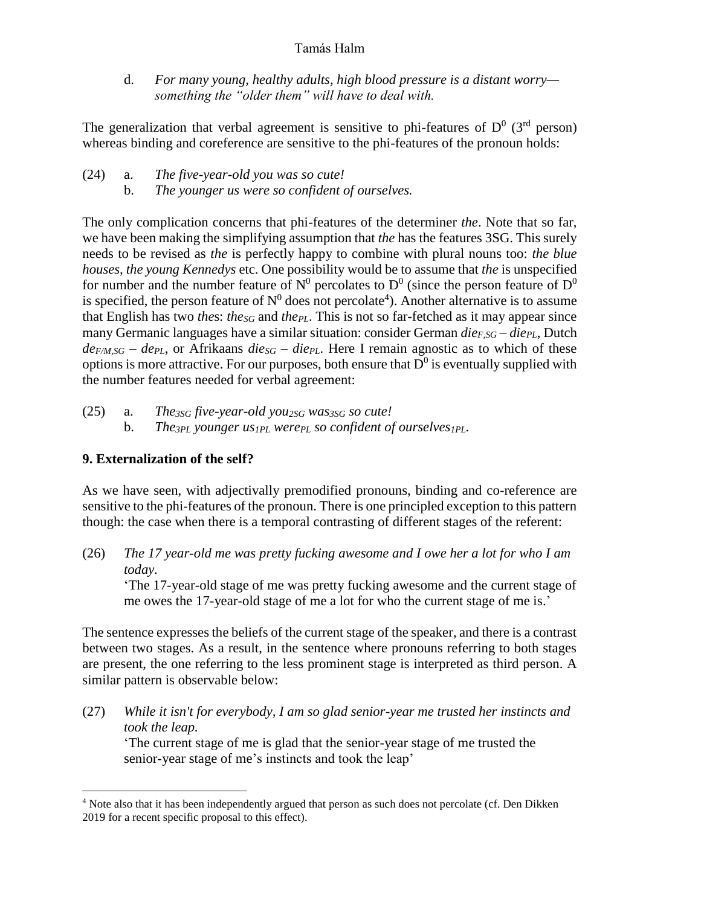d. *For many young, healthy adults, high blood pressure is a distant worry something the "older them" will have to deal with.*

The generalization that verbal agreement is sensitive to phi-features of  $D^0$  (3<sup>rd</sup> person) whereas binding and coreference are sensitive to the phi-features of the pronoun holds:

- (24) a. *The five-year-old you was so cute!*
	- b. *The younger us were so confident of ourselves.*

The only complication concerns that phi-features of the determiner *the*. Note that so far, we have been making the simplifying assumption that *the* has the features 3SG. This surely needs to be revised as *the* is perfectly happy to combine with plural nouns too: *the blue houses, the young Kennedys* etc. One possibility would be to assume that *the* is unspecified for number and the number feature of  $N^0$  percolates to  $D^0$  (since the person feature of  $D^0$ is specified, the person feature of  $N^0$  does not percolate<sup>4</sup>). Another alternative is to assume that English has two *the*s: *theSG* and *thePL*. This is not so far-fetched as it may appear since many Germanic languages have a similar situation: consider German *dieF,SG – diePL*, Dutch  $de_{F/M,SG}$  –  $de_{PL}$ , or Afrikaans  $die_{SG}$  –  $die_{PL}$ . Here I remain agnostic as to which of these options is more attractive. For our purposes, both ensure that  $\overline{D}^0$  is eventually supplied with the number features needed for verbal agreement:

(25) a. *The3SG five-year-old you2SG was3SG so cute!* b. *The3PL younger us1PL werePL so confident of ourselves1PL.*

# **9. Externalization of the self?**

 $\overline{\phantom{a}}$ 

As we have seen, with adjectivally premodified pronouns, binding and co-reference are sensitive to the phi-features of the pronoun. There is one principled exception to this pattern though: the case when there is a temporal contrasting of different stages of the referent:

(26) *The 17 year-old me was pretty fucking awesome and I owe her a lot for who I am today.* 'The 17-year-old stage of me was pretty fucking awesome and the current stage of me owes the 17-year-old stage of me a lot for who the current stage of me is.'

The sentence expresses the beliefs of the current stage of the speaker, and there is a contrast between two stages. As a result, in the sentence where pronouns referring to both stages are present, the one referring to the less prominent stage is interpreted as third person. A similar pattern is observable below:

(27) *While it isn't for everybody, I am so glad senior-year me trusted her instincts and took the leap.*

'The current stage of me is glad that the senior-year stage of me trusted the senior-year stage of me's instincts and took the leap'

<sup>4</sup> Note also that it has been independently argued that person as such does not percolate (cf. Den Dikken 2019 for a recent specific proposal to this effect).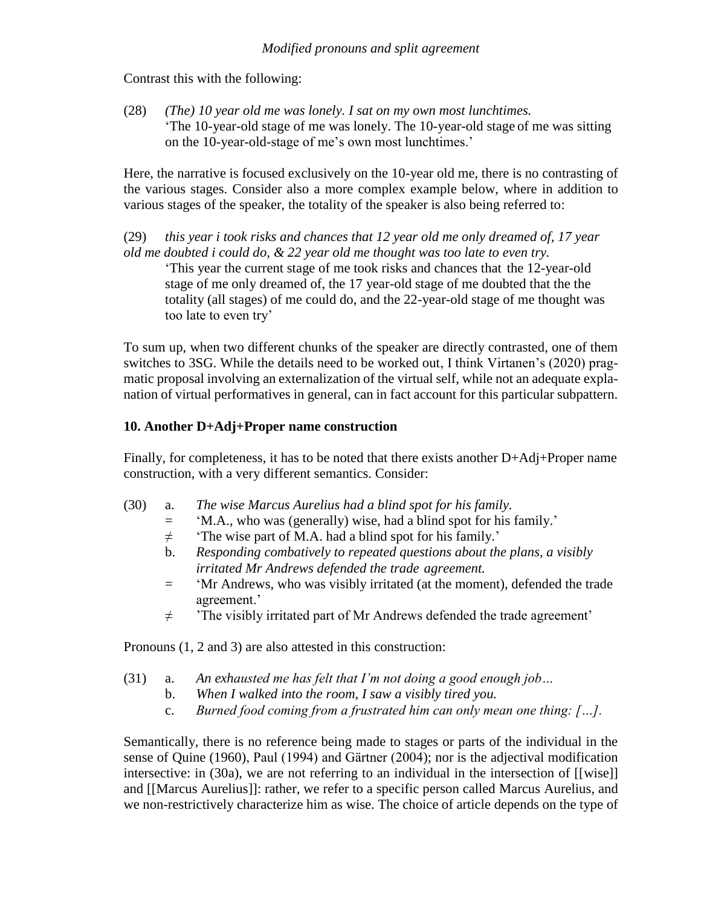Contrast this with the following:

(28) *(The) 10 year old me was lonely. I sat on my own most lunchtimes.* 'The 10-year-old stage of me was lonely. The 10-year-old stage of me was sitting on the 10-year-old-stage of me's own most lunchtimes.'

Here, the narrative is focused exclusively on the 10-year old me, there is no contrasting of the various stages. Consider also a more complex example below, where in addition to various stages of the speaker, the totality of the speaker is also being referred to:

(29) *this year i took risks and chances that 12 year old me only dreamed of, 17 year old me doubted i could do, & 22 year old me thought was too late to even try.*

'This year the current stage of me took risks and chances that the 12-year-old stage of me only dreamed of, the 17 year-old stage of me doubted that the the totality (all stages) of me could do, and the 22-year-old stage of me thought was too late to even try'

To sum up, when two different chunks of the speaker are directly contrasted, one of them switches to 3SG. While the details need to be worked out, I think Virtanen's (2020) pragmatic proposal involving an externalization of the virtual self, while not an adequate explanation of virtual performatives in general, can in fact account for this particular subpattern.

### **10. Another D+Adj+Proper name construction**

Finally, for completeness, it has to be noted that there exists another D+Adj+Proper name construction, with a very different semantics. Consider:

- (30) a. *The wise Marcus Aurelius had a blind spot for his family.*
	- = 'M.A., who was (generally) wise, had a blind spot for his family.'
	- $\neq$  'The wise part of M.A. had a blind spot for his family.'
	- b. *Responding combatively to repeated questions about the plans, a visibly irritated Mr Andrews defended the trade agreement.*
	- = 'Mr Andrews, who was visibly irritated (at the moment), defended the trade agreement.'
	- $\neq$  'The visibly irritated part of Mr Andrews defended the trade agreement'

Pronouns (1, 2 and 3) are also attested in this construction:

- (31) a. *An exhausted me has felt that I'm not doing a good enough job…*
	- b. *When I walked into the room, I saw a visibly tired you.*
		- c. *Burned food coming from a frustrated him can only mean one thing: […].*

Semantically, there is no reference being made to stages or parts of the individual in the sense of Quine (1960), Paul (1994) and Gärtner (2004); nor is the adjectival modification intersective: in (30a), we are not referring to an individual in the intersection of [[wise]] and [[Marcus Aurelius]]: rather, we refer to a specific person called Marcus Aurelius, and we non-restrictively characterize him as wise. The choice of article depends on the type of